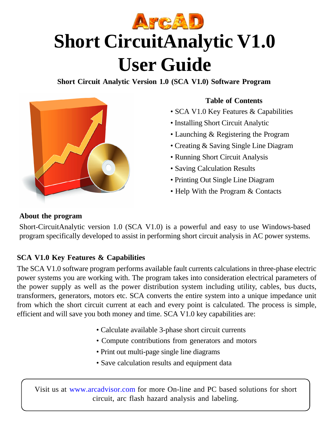

**Short Circuit Analytic Version 1.0 (SCA V1.0) Software Program**



### **Table of Contents**

- SCA V1.0 Key Features & Capabilities
- Installing Short Circuit Analytic
- Launching & Registering the Program
- Creating & Saving Single Line Diagram
- Running Short Circuit Analysis
- Saving Calculation Results
- Printing Out Single Line Diagram
- Help With the Program & Contacts

### **About the program**

Short-CircuitAnalytic version 1.0 (SCA V1.0) is a powerful and easy to use Windows-based program specifically developed to assist in performing short circuit analysis in AC power systems.

## **SCA V1.0 Key Features & Capabilities**

The SCA V1.0 software program performs available fault currents calculations in three-phase electric power systems you are working with. The program takes into consideration electrical parameters of the power supply as well as the power distribution system including utility, cables, bus ducts, transformers, generators, motors etc. SCA converts the entire system into a unique impedance unit from which the short circuit current at each and every point is calculated. The process is simple, efficient and will save you both money and time. SCA V1.0 key capabilities are:

- Calculate available 3-phase short circuit currents
- Compute contributions from generators and motors
- Print out multi-page single line diagrams
- Save calculation results and equipment data

Visit us at www.arcadvisor.com for more On-line and PC based solutions for short circuit, arc flash hazard analysis and labeling.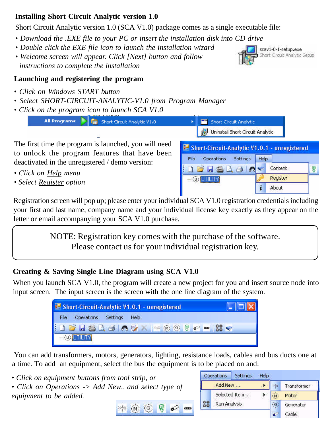#### **Installing Short Circuit Analytic version 1.0**

Short Circuit Analytic version 1.0 (SCA V1.0) package comes as a single executable file:

- *Download the .EXE file to your PC or insert the installation disk into CD drive*
- *Double click the EXE file icon to launch the installation wizard*
- *Welcome screen will appear. Click [Next] button and follow instructions to complete the installation*

### **Launching and registering the program**

- *Click on Windows START button*
- *Select SHORT-CIRCUIT-ANALYTIC-V1.0 from Program Manager*
- *Click on the program icon to launch SCA V1.0*



The first time the program is launched, you will need to unlock the program features that have been deactivated in the unregistered / demo version:

- *Click on Help menu*
- *Select Register option*

Registration screen will pop up; please enter your individual SCA V1.0 registration credentials including your first and last name, company name and your individual license key exactly as they appear on the letter or email accompanying your SCA V1.0 purchase.

> NOTE: Registration key comes with the purchase of the software. Please contact us for your individual registration key.

### **Creating & Saving Single Line Diagram using SCA V1.0**

When you launch SCA V1.0, the program will create a new project for you and insert source node into input screen. The input screen is the screen with the one line diagram of the system.



N.

íG)

 You can add transformers, motors, generators, lighting, resistance loads, cables and bus ducts one at a time. To add an equipment, select the bus the equipment is to be placed on and:

 $\phi$  as

*• Click on equipment buttons from tool strip, or*

*• Click on Operations -> Add New.. and select type of equipment to be added.*





Short-Circuit-Analytic V1.0.1 - unregistered Operations Settings File Help **DEREAD** Content 屠 e. Register  $-$  (0) UTILITY i About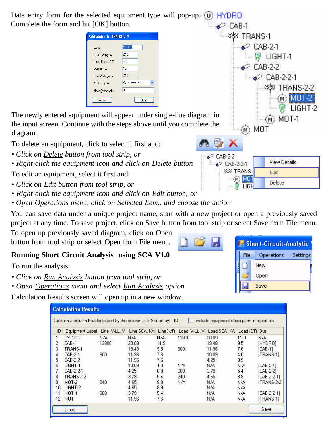Data entry form for the selected equipment type will pop-up.  $(\mathbf{u})$ HYDRO Complete the form and hit [OK] button.  $\bullet$   $\circ$  CAB-1. ≫≫ TRANS-1 Add Motor to TRANS-2-2  $\bullet$  CAB-21 **MOT-2** Label FLA Rating, A 240 一尉 LIGHT 1 15 Impedance, %Z  $\bullet$  CAB-2-2 15 X/R Ratio Line Voltage, V 240  $\bullet$  CAB-2-2-1 Motor Type Synchronous V **WW TRANS-2-2**  $|0|$ Note (optional) Cancel  $0K$ The newly entered equipment will appear under single-line diagram in MOT-1 the input screen. Continue with the steps above until you complete the (m) MOT diagram. To delete an equipment, click to select it first and:

- *Click on Delete button from tool strip, or*
- *Right-click the equipment icon and click on Delete button*

To edit an equipment, select it first and:

- *Click on Edit button from tool strip, or*
- *Right-click the equipment icon and click on Edit button, or*
- *Open Operations menu, click on Selected Item.. and choose the action*

You can save data under a unique project name, start with a new project or open a previously saved project at any time. To save project, click on Save button from tool strip or select Save from File menu.

To open up previously saved diagram, click on Open button from tool strip or select Open from File menu.

# **Running Short Circuit Analysis using SCA V1.0**

To run the analysis:

- *Click on Run Analysis button from tool strip, or*
- *Open Operations menu and select Run Analysis option*

Calculation Results screen will open up in a new window.

| <b>Calculation Results</b> |                                                                                                                     |       |       |      |       |       |      |              |  |  |  |  |
|----------------------------|---------------------------------------------------------------------------------------------------------------------|-------|-------|------|-------|-------|------|--------------|--|--|--|--|
|                            | include equipment description in report file<br>Click on a column header to sort by the column title. Sorted by: ID |       |       |      |       |       |      |              |  |  |  |  |
| ID                         | Equipment Label Line V-LL, V Line SCA, KA Line X/R Load V-LL, V Load SCA, KA Load X/R Bus                           |       |       |      |       |       |      |              |  |  |  |  |
|                            | HYDRO                                                                                                               | N/A   | N/A   | N/A  | 13800 | 20.09 | 11.9 | N/A          |  |  |  |  |
| $\overline{c}$             | CAB-1                                                                                                               | 1380C | 20.09 | 11.9 |       | 19.48 | 9.5  | [HYDRO]      |  |  |  |  |
| 3                          | TRANS-1                                                                                                             |       | 19.48 | 9.5  | 600   | 11.96 | 7.6  | ICAB-11      |  |  |  |  |
| 4                          | CAB-2-1                                                                                                             | 600   | 11.96 | 7.6  |       | 10.09 | 4.0  | [TRANS-1]    |  |  |  |  |
| 5.                         | CAB-2-2                                                                                                             |       | 11.96 | 7.6  |       | 4.25  | 0.9  |              |  |  |  |  |
| 6                          | LIGHT-1                                                                                                             |       | 10.09 | 4.0  | N/A   | N/A   | N/A  | [CAB-2-1]    |  |  |  |  |
| 7                          | CAB-2-2-1                                                                                                           |       | 4.25  | 0.9  | 600   | 3.79  | 5.4  | [CAB-2-2]    |  |  |  |  |
| 8                          | TRANS-2-2                                                                                                           |       | 3.79  | 5.4  | 240   | 4.65  | 8.9  | ICAB-2-2-11  |  |  |  |  |
| 9                          | MOT-2-                                                                                                              | 240   | 4.65  | 8.9  | N/A   | N/A   | N/A  | [TRANS-2-21] |  |  |  |  |
| 10                         | LIGHT-2                                                                                                             |       | 4.65  | 8.9  |       | N/A   | N/A  |              |  |  |  |  |
| 11                         | MOT 1                                                                                                               | 600   | 3.79  | 5.4  |       | N/A   | N/A  | [CAB 2-2-1]  |  |  |  |  |
| $12 \,$                    | MOT                                                                                                                 |       | 11.96 | 7.6  |       | N/A   | N/A  | [TRANS-1]    |  |  |  |  |
|                            | Close                                                                                                               |       |       |      |       |       |      | Save         |  |  |  |  |

| Short-Circuit-Analytic |                        |  |  |  |
|------------------------|------------------------|--|--|--|
| File                   | Operations<br>Settings |  |  |  |
|                        | New                    |  |  |  |
|                        | Open                   |  |  |  |
|                        | Save                   |  |  |  |